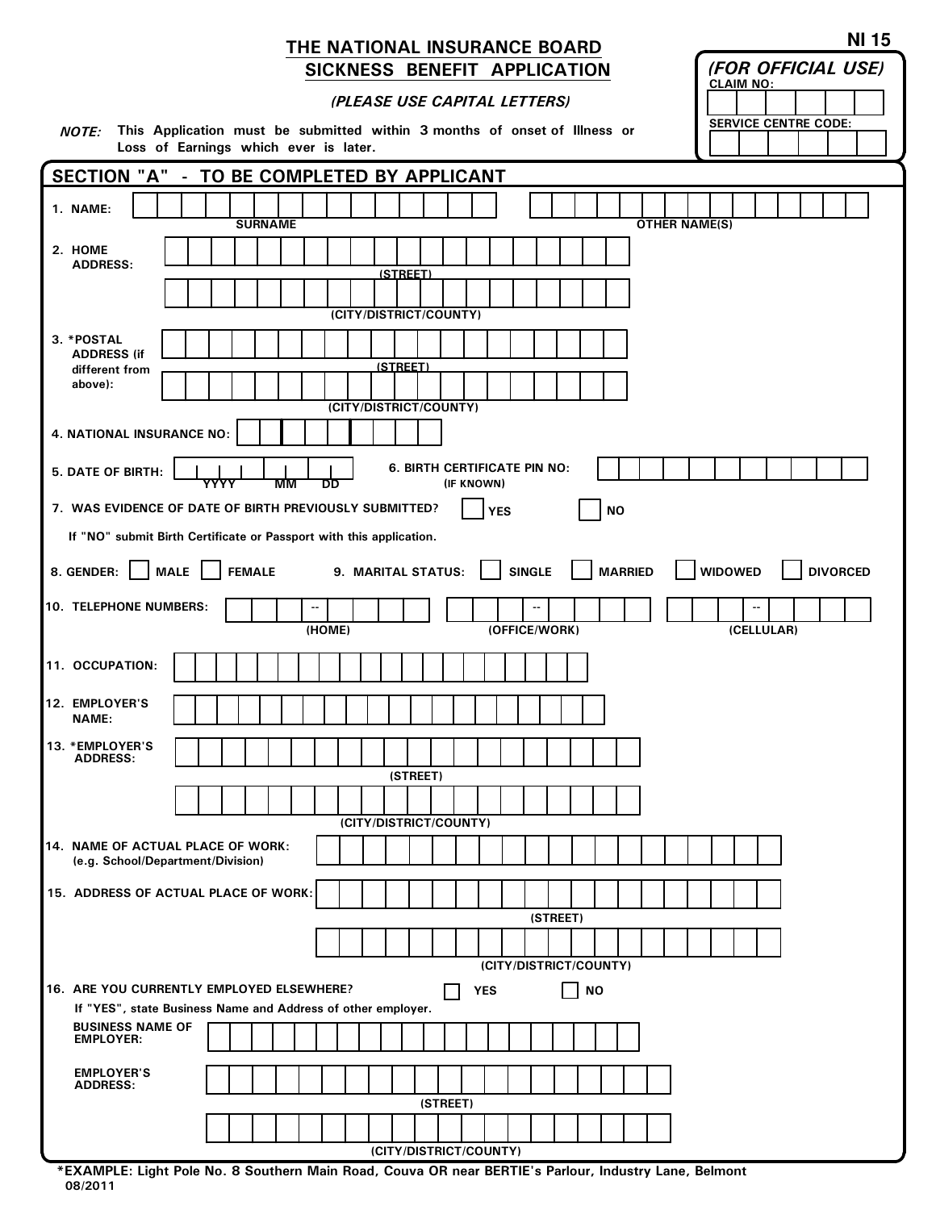## THE NATIONAL INSURANCE BOARD SICKNESS BENEFIT APPLICATION

|  |  |  | (PLEASE USE CAPITAL LETTERS) |
|--|--|--|------------------------------|
|--|--|--|------------------------------|

NOTE: This Application must be submitted within 3 months of onset of Illness or Loss of Earnings which ever is later.

| ,,,,,<br>This reportation made be capmitted within a months of choce of<br>Loss of Earnings which ever is later.                     |  |  |  |  |  |  |  |  |
|--------------------------------------------------------------------------------------------------------------------------------------|--|--|--|--|--|--|--|--|
| SECTION "A" - TO BE COMPLETED BY APPLICANT                                                                                           |  |  |  |  |  |  |  |  |
| 1. NAME:<br><b>SURNAME</b><br><b>OTHER NAME(S)</b>                                                                                   |  |  |  |  |  |  |  |  |
| 2. HOME<br><b>ADDRESS:</b>                                                                                                           |  |  |  |  |  |  |  |  |
| <u>(STREET)</u>                                                                                                                      |  |  |  |  |  |  |  |  |
| (CITY/DISTRICT/COUNTY)                                                                                                               |  |  |  |  |  |  |  |  |
| 3. *POSTAL                                                                                                                           |  |  |  |  |  |  |  |  |
| <b>ADDRESS (if</b><br>(STREET)<br>different from                                                                                     |  |  |  |  |  |  |  |  |
| above):                                                                                                                              |  |  |  |  |  |  |  |  |
| (CITY/DISTRICT/COUNTY)                                                                                                               |  |  |  |  |  |  |  |  |
| 4. NATIONAL INSURANCE NO:                                                                                                            |  |  |  |  |  |  |  |  |
| <b>6. BIRTH CERTIFICATE PIN NO:</b><br><b>5. DATE OF BIRTH:</b><br>YYYY<br>(IF KNOWN)<br>ΜМ<br>DD                                    |  |  |  |  |  |  |  |  |
| 7. WAS EVIDENCE OF DATE OF BIRTH PREVIOUSLY SUBMITTED?<br><b>YES</b><br><b>NO</b>                                                    |  |  |  |  |  |  |  |  |
| If "NO" submit Birth Certificate or Passport with this application.                                                                  |  |  |  |  |  |  |  |  |
| 8. GENDER: MALE<br><b>SINGLE</b><br><b>MARRIED</b><br><b>WIDOWED</b><br><b>FEMALE</b><br>9. MARITAL STATUS:<br><b>DIVORCED</b>       |  |  |  |  |  |  |  |  |
| 10. TELEPHONE NUMBERS:                                                                                                               |  |  |  |  |  |  |  |  |
| (HOME)<br>(OFFICE/WORK)<br>(CELLULAR)                                                                                                |  |  |  |  |  |  |  |  |
| 11. OCCUPATION:                                                                                                                      |  |  |  |  |  |  |  |  |
| 12. EMPLOYER'S<br><b>NAME:</b>                                                                                                       |  |  |  |  |  |  |  |  |
| 13. * EMPLOYER'S<br><b>ADDRESS:</b>                                                                                                  |  |  |  |  |  |  |  |  |
| (STREET)                                                                                                                             |  |  |  |  |  |  |  |  |
| (CITY/DISTRICT/COUNTY)                                                                                                               |  |  |  |  |  |  |  |  |
| 14. NAME OF ACTUAL PLACE OF WORK:<br>(e.g. School/Department/Division)                                                               |  |  |  |  |  |  |  |  |
| 15. ADDRESS OF ACTUAL PLACE OF WORK:                                                                                                 |  |  |  |  |  |  |  |  |
| (STREET)                                                                                                                             |  |  |  |  |  |  |  |  |
|                                                                                                                                      |  |  |  |  |  |  |  |  |
| (CITY/DISTRICT/COUNTY)                                                                                                               |  |  |  |  |  |  |  |  |
| 16. ARE YOU CURRENTLY EMPLOYED ELSEWHERE?<br><b>NO</b><br><b>YES</b><br>If "YES", state Business Name and Address of other employer. |  |  |  |  |  |  |  |  |
| <b>BUSINESS NAME OF</b>                                                                                                              |  |  |  |  |  |  |  |  |
| <b>EMPLOYER:</b>                                                                                                                     |  |  |  |  |  |  |  |  |
| <b>EMPLOYER'S</b><br><b>ADDRESS:</b>                                                                                                 |  |  |  |  |  |  |  |  |
| (STREET)                                                                                                                             |  |  |  |  |  |  |  |  |
|                                                                                                                                      |  |  |  |  |  |  |  |  |
| (CITY/DISTRICT/COUNTY)                                                                                                               |  |  |  |  |  |  |  |  |

\*EXAMPLE: Light Pole No. 8 Southern Main Road, Couva OR near BERTIE's Parlour, Industry Lane, Belmont 08/2011

(FOR OFFICIAL USE)

SERVICE CENTRE CODE:

CLAIM NO:

 $\mathbf{I}$  $\mathbf{L}$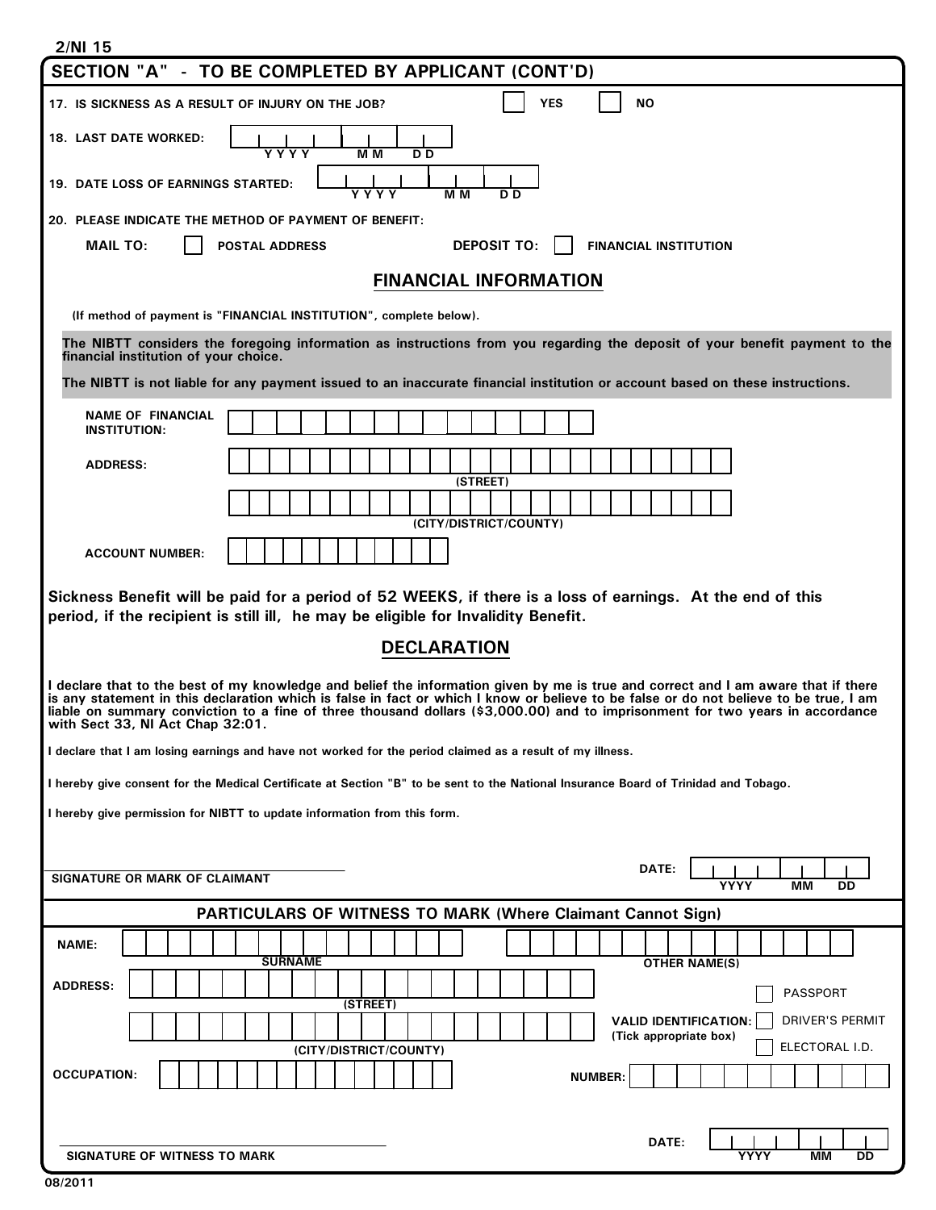| 2/NI 15                                                                                                                                                                                                                                                                                                                                                                                                                                          |  |  |  |  |  |  |  |  |
|--------------------------------------------------------------------------------------------------------------------------------------------------------------------------------------------------------------------------------------------------------------------------------------------------------------------------------------------------------------------------------------------------------------------------------------------------|--|--|--|--|--|--|--|--|
| SECTION "A" - TO BE COMPLETED BY APPLICANT (CONT'D)                                                                                                                                                                                                                                                                                                                                                                                              |  |  |  |  |  |  |  |  |
| <b>YES</b><br>ΝO<br>17. IS SICKNESS AS A RESULT OF INJURY ON THE JOB?                                                                                                                                                                                                                                                                                                                                                                            |  |  |  |  |  |  |  |  |
| <b>18. LAST DATE WORKED:</b><br>M M<br>Y Y Y Y<br>D <sub>D</sub>                                                                                                                                                                                                                                                                                                                                                                                 |  |  |  |  |  |  |  |  |
| <b>19. DATE LOSS OF EARNINGS STARTED:</b><br>M M<br>Y Y Y Y<br>D D                                                                                                                                                                                                                                                                                                                                                                               |  |  |  |  |  |  |  |  |
| 20. PLEASE INDICATE THE METHOD OF PAYMENT OF BENEFIT:                                                                                                                                                                                                                                                                                                                                                                                            |  |  |  |  |  |  |  |  |
| <b>DEPOSIT TO:</b><br><b>MAIL TO:</b><br><b>POSTAL ADDRESS</b><br><b>FINANCIAL INSTITUTION</b>                                                                                                                                                                                                                                                                                                                                                   |  |  |  |  |  |  |  |  |
| <b>FINANCIAL INFORMATION</b>                                                                                                                                                                                                                                                                                                                                                                                                                     |  |  |  |  |  |  |  |  |
| (If method of payment is "FINANCIAL INSTITUTION", complete below).                                                                                                                                                                                                                                                                                                                                                                               |  |  |  |  |  |  |  |  |
| The NIBTT considers the foregoing information as instructions from you regarding the deposit of your benefit payment to the<br>financial institution of your choice.                                                                                                                                                                                                                                                                             |  |  |  |  |  |  |  |  |
| The NIBTT is not liable for any payment issued to an inaccurate financial institution or account based on these instructions.                                                                                                                                                                                                                                                                                                                    |  |  |  |  |  |  |  |  |
| <b>NAME OF FINANCIAL</b><br><b>INSTITUTION:</b>                                                                                                                                                                                                                                                                                                                                                                                                  |  |  |  |  |  |  |  |  |
| <b>ADDRESS:</b>                                                                                                                                                                                                                                                                                                                                                                                                                                  |  |  |  |  |  |  |  |  |
| (STREET)                                                                                                                                                                                                                                                                                                                                                                                                                                         |  |  |  |  |  |  |  |  |
| (CITY/DISTRICT/COUNTY)                                                                                                                                                                                                                                                                                                                                                                                                                           |  |  |  |  |  |  |  |  |
| <b>ACCOUNT NUMBER:</b>                                                                                                                                                                                                                                                                                                                                                                                                                           |  |  |  |  |  |  |  |  |
| Sickness Benefit will be paid for a period of 52 WEEKS, if there is a loss of earnings. At the end of this                                                                                                                                                                                                                                                                                                                                       |  |  |  |  |  |  |  |  |
| period, if the recipient is still ill, he may be eligible for Invalidity Benefit.                                                                                                                                                                                                                                                                                                                                                                |  |  |  |  |  |  |  |  |
| <b>DECLARATION</b>                                                                                                                                                                                                                                                                                                                                                                                                                               |  |  |  |  |  |  |  |  |
| I declare that to the best of my knowledge and belief the information given by me is true and correct and I am aware that if there<br>is any statement in this declaration which is false in fact or which I know or believe to be false or do not believe to be true, I am<br>liable on summary conviction to a fine of three thousand dollars (\$3,000.00) and to imprisonment for two years in accordance<br>with Sect 33, NI Act Chap 32:01. |  |  |  |  |  |  |  |  |
| I declare that I am losing earnings and have not worked for the period claimed as a result of my illness.                                                                                                                                                                                                                                                                                                                                        |  |  |  |  |  |  |  |  |
| I hereby give consent for the Medical Certificate at Section "B" to be sent to the National Insurance Board of Trinidad and Tobago.                                                                                                                                                                                                                                                                                                              |  |  |  |  |  |  |  |  |
| I hereby give permission for NIBTT to update information from this form.                                                                                                                                                                                                                                                                                                                                                                         |  |  |  |  |  |  |  |  |
|                                                                                                                                                                                                                                                                                                                                                                                                                                                  |  |  |  |  |  |  |  |  |
| DATE:<br><b>SIGNATURE OR MARK OF CLAIMANT</b><br><b>YYYY</b><br>MМ<br>DD                                                                                                                                                                                                                                                                                                                                                                         |  |  |  |  |  |  |  |  |
| <b>PARTICULARS OF WITNESS TO MARK (Where Claimant Cannot Sign)</b>                                                                                                                                                                                                                                                                                                                                                                               |  |  |  |  |  |  |  |  |
| NAME:<br><b>SURNAME</b><br><b>OTHER NAME(S)</b>                                                                                                                                                                                                                                                                                                                                                                                                  |  |  |  |  |  |  |  |  |
| <b>ADDRESS:</b><br>PASSPORT                                                                                                                                                                                                                                                                                                                                                                                                                      |  |  |  |  |  |  |  |  |
| (STREET)<br><b>DRIVER'S PERMIT</b><br><b>VALID IDENTIFICATION:</b>                                                                                                                                                                                                                                                                                                                                                                               |  |  |  |  |  |  |  |  |
| (Tick appropriate box)<br>ELECTORAL I.D.<br>(CITY/DISTRICT/COUNTY)                                                                                                                                                                                                                                                                                                                                                                               |  |  |  |  |  |  |  |  |
| <b>OCCUPATION:</b><br><b>NUMBER:</b>                                                                                                                                                                                                                                                                                                                                                                                                             |  |  |  |  |  |  |  |  |
|                                                                                                                                                                                                                                                                                                                                                                                                                                                  |  |  |  |  |  |  |  |  |
| DATE:<br><b>SIGNATURE OF WITNESS TO MARK</b><br>YYYY<br>MМ<br>DD                                                                                                                                                                                                                                                                                                                                                                                 |  |  |  |  |  |  |  |  |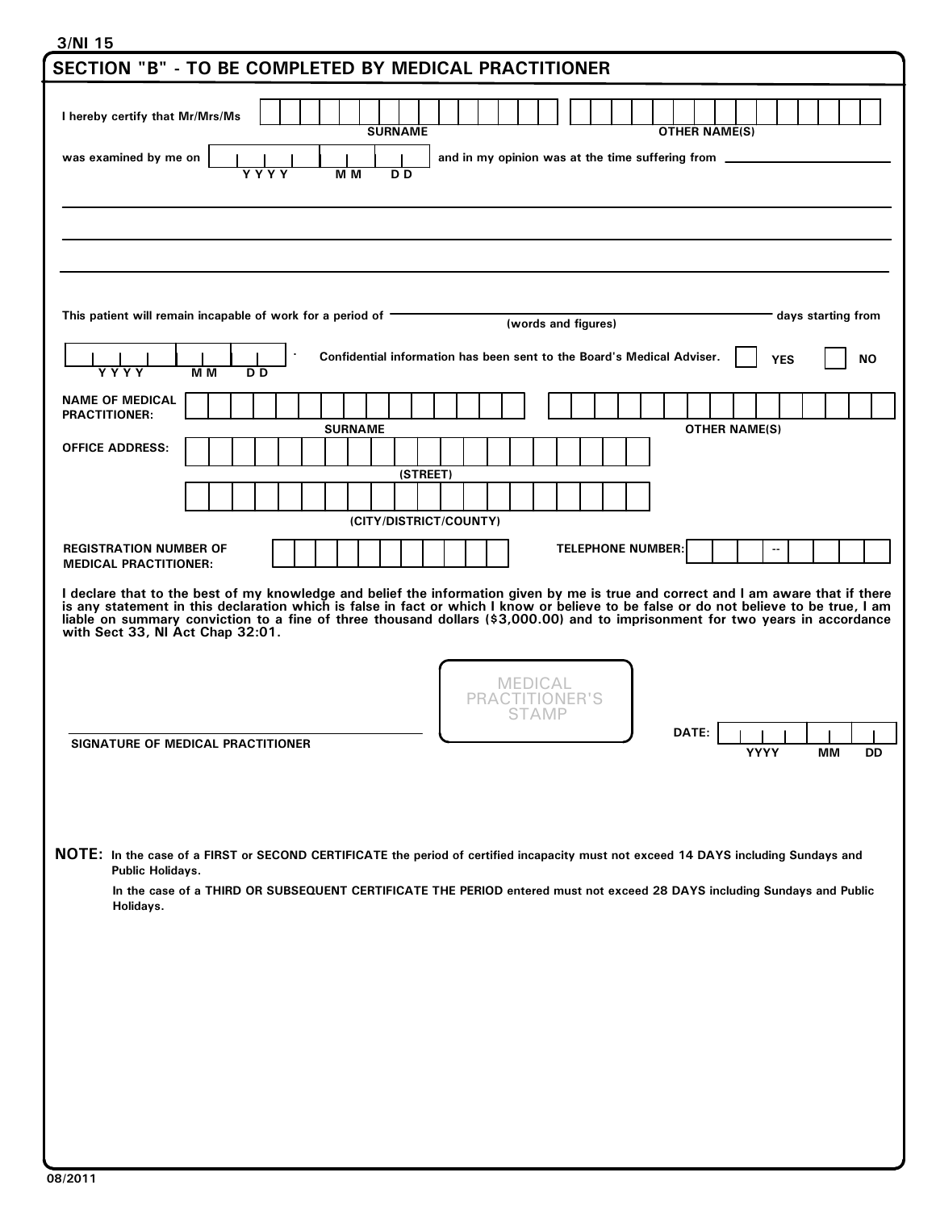## 3/NI 15

| SECTION "B" - TO BE COMPLETED BY MEDICAL PRACTITIONER                                                                                                                                                                                                                                                                                                                                                                                            |  |                |  |                                                                        |                        |          |  |      |                                       |  |  |                          |                      |                      |      |             |                           |           |  |
|--------------------------------------------------------------------------------------------------------------------------------------------------------------------------------------------------------------------------------------------------------------------------------------------------------------------------------------------------------------------------------------------------------------------------------------------------|--|----------------|--|------------------------------------------------------------------------|------------------------|----------|--|------|---------------------------------------|--|--|--------------------------|----------------------|----------------------|------|-------------|---------------------------|-----------|--|
| I hereby certify that Mr/Mrs/Ms                                                                                                                                                                                                                                                                                                                                                                                                                  |  |                |  |                                                                        | <b>SURNAME</b>         |          |  |      |                                       |  |  |                          | <b>OTHER NAME(S)</b> |                      |      |             |                           |           |  |
| was examined by me on<br>and in my opinion was at the time suffering from _<br>M M<br>D <sub>D</sub><br>Y Y Y Y                                                                                                                                                                                                                                                                                                                                  |  |                |  |                                                                        |                        |          |  |      |                                       |  |  |                          |                      |                      |      |             |                           |           |  |
|                                                                                                                                                                                                                                                                                                                                                                                                                                                  |  |                |  |                                                                        |                        |          |  |      |                                       |  |  |                          |                      |                      |      |             |                           |           |  |
|                                                                                                                                                                                                                                                                                                                                                                                                                                                  |  |                |  |                                                                        |                        |          |  |      |                                       |  |  |                          |                      |                      |      |             |                           |           |  |
|                                                                                                                                                                                                                                                                                                                                                                                                                                                  |  |                |  |                                                                        |                        |          |  |      |                                       |  |  |                          |                      |                      |      |             |                           |           |  |
| This patient will remain incapable of work for a period of $\blacksquare$                                                                                                                                                                                                                                                                                                                                                                        |  |                |  |                                                                        |                        |          |  |      | (words and figures)                   |  |  |                          |                      |                      |      |             | days starting from        |           |  |
| M <sub>M</sub><br>Y Y Y Y                                                                                                                                                                                                                                                                                                                                                                                                                        |  | D <sub>D</sub> |  | Confidential information has been sent to the Board's Medical Adviser. |                        |          |  |      |                                       |  |  |                          |                      |                      |      | <b>YES</b>  |                           | <b>NO</b> |  |
| <b>NAME OF MEDICAL</b><br><b>PRACTITIONER:</b>                                                                                                                                                                                                                                                                                                                                                                                                   |  |                |  |                                                                        |                        |          |  |      |                                       |  |  |                          |                      |                      |      |             |                           |           |  |
| <b>OFFICE ADDRESS:</b>                                                                                                                                                                                                                                                                                                                                                                                                                           |  |                |  | <b>SURNAME</b>                                                         |                        |          |  |      |                                       |  |  |                          |                      | <b>OTHER NAME(S)</b> |      |             |                           |           |  |
|                                                                                                                                                                                                                                                                                                                                                                                                                                                  |  |                |  |                                                                        |                        | (STREET) |  |      |                                       |  |  |                          |                      |                      |      |             |                           |           |  |
|                                                                                                                                                                                                                                                                                                                                                                                                                                                  |  |                |  |                                                                        | (CITY/DISTRICT/COUNTY) |          |  |      |                                       |  |  |                          |                      |                      |      |             |                           |           |  |
| <b>REGISTRATION NUMBER OF</b><br><b>MEDICAL PRACTITIONER:</b>                                                                                                                                                                                                                                                                                                                                                                                    |  |                |  |                                                                        |                        |          |  |      |                                       |  |  | <b>TELEPHONE NUMBER:</b> |                      |                      |      |             |                           |           |  |
| I declare that to the best of my knowledge and belief the information given by me is true and correct and I am aware that if there<br>is any statement in this declaration which is false in fact or which I know or believe to be false or do not believe to be true, I am<br>liable on summary conviction to a fine of three thousand dollars (\$3,000.00) and to imprisonment for two years in accordance<br>with Sect 33, NI Act Chap 32:01. |  |                |  |                                                                        |                        |          |  | PRAC | MEDICAL<br><b>TITIONER'S</b><br>STAMP |  |  |                          |                      |                      |      |             |                           |           |  |
| SIGNATURE OF MEDICAL PRACTITIONER                                                                                                                                                                                                                                                                                                                                                                                                                |  |                |  |                                                                        |                        |          |  |      |                                       |  |  |                          | DATE:                |                      | YYYY | $1 - 1 - 1$ | $\mathbf{L}$<br><b>MM</b> | DD        |  |
| NOTE: In the case of a FIRST or SECOND CERTIFICATE the period of certified incapacity must not exceed 14 DAYS including Sundays and<br>Public Holidays.<br>In the case of a THIRD OR SUBSEQUENT CERTIFICATE THE PERIOD entered must not exceed 28 DAYS including Sundays and Public<br>Holidays.                                                                                                                                                 |  |                |  |                                                                        |                        |          |  |      |                                       |  |  |                          |                      |                      |      |             |                           |           |  |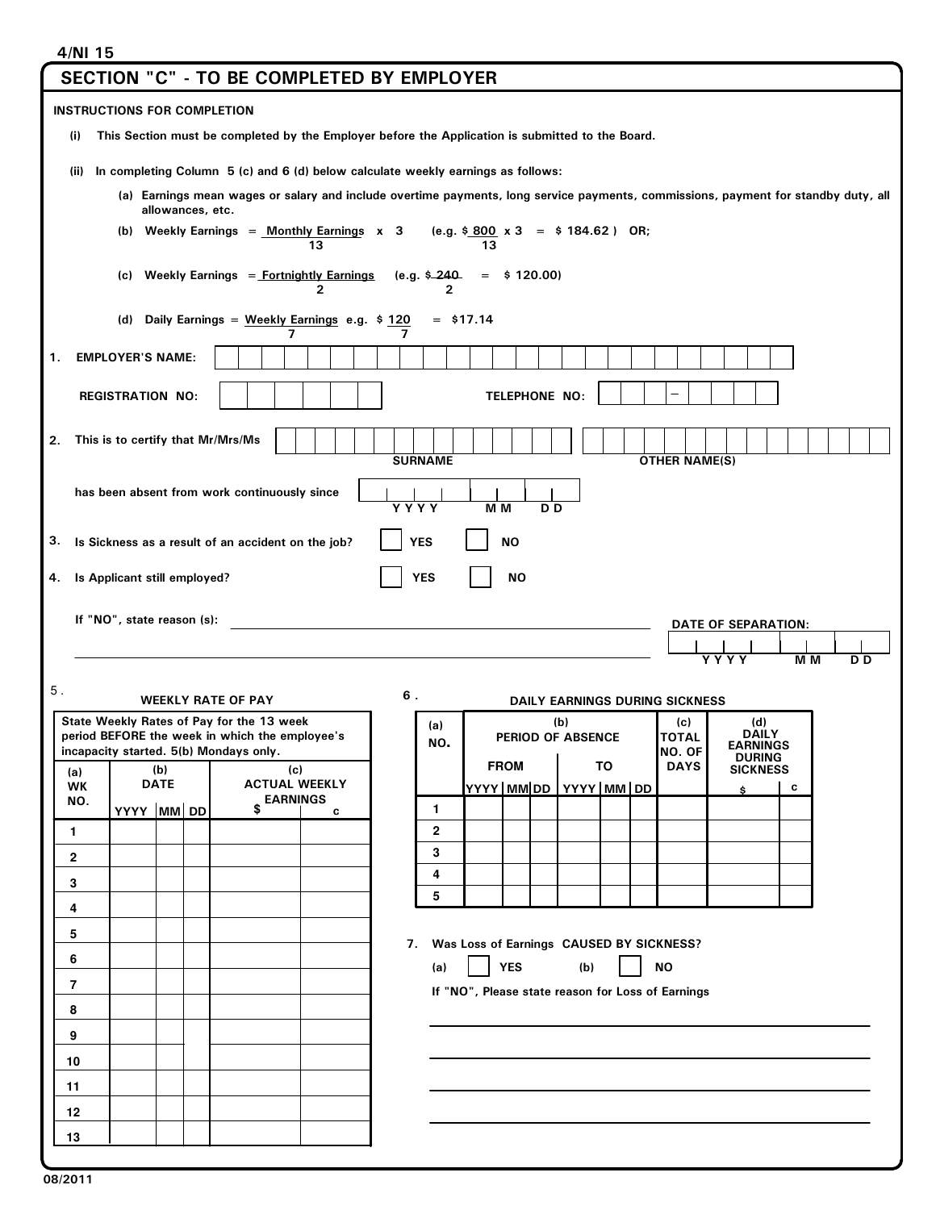## 4/NI 15

|                                                                                                                                    | <b>SECTION "C" - TO BE COMPLETED BY EMPLOYER</b>                                                       |  |  |  |  |  |  |  |  |  |
|------------------------------------------------------------------------------------------------------------------------------------|--------------------------------------------------------------------------------------------------------|--|--|--|--|--|--|--|--|--|
| <b>INSTRUCTIONS FOR COMPLETION</b>                                                                                                 |                                                                                                        |  |  |  |  |  |  |  |  |  |
| This Section must be completed by the Employer before the Application is submitted to the Board.<br>(i)                            |                                                                                                        |  |  |  |  |  |  |  |  |  |
| In completing Column 5 (c) and 6 (d) below calculate weekly earnings as follows:<br>(ii)                                           |                                                                                                        |  |  |  |  |  |  |  |  |  |
| (a) Earnings mean wages or salary and include overtime payments, long service payments, commissions, payment for standby duty, all |                                                                                                        |  |  |  |  |  |  |  |  |  |
| allowances, etc.<br>(b) Weekly Earnings = $Monthly$ Earnings x 3<br>(e.g. $$800 \times 3 = $184.62$ ) OR;                          |                                                                                                        |  |  |  |  |  |  |  |  |  |
| 13<br>13                                                                                                                           |                                                                                                        |  |  |  |  |  |  |  |  |  |
| Weekly Earnings = Fortnightly Earnings<br>(c)<br>2                                                                                 | (e.g. \$_240<br>\$120.00)<br>$=$<br>2                                                                  |  |  |  |  |  |  |  |  |  |
| Daily Earnings = Weekly Earnings e.g. \$120<br>(d)<br>7<br>7                                                                       | $=$ \$17.14                                                                                            |  |  |  |  |  |  |  |  |  |
| <b>EMPLOYER'S NAME:</b><br>1.                                                                                                      |                                                                                                        |  |  |  |  |  |  |  |  |  |
| <b>REGISTRATION NO:</b>                                                                                                            | TELEPHONE NO:                                                                                          |  |  |  |  |  |  |  |  |  |
|                                                                                                                                    |                                                                                                        |  |  |  |  |  |  |  |  |  |
| This is to certify that Mr/Mrs/Ms<br>2.                                                                                            | <b>SURNAME</b><br><b>OTHER NAME(S)</b>                                                                 |  |  |  |  |  |  |  |  |  |
| has been absent from work continuously since                                                                                       | YYYY<br>M <sub>M</sub><br>D D                                                                          |  |  |  |  |  |  |  |  |  |
| 3.<br>Is Sickness as a result of an accident on the job?                                                                           | <b>NO</b><br><b>YES</b>                                                                                |  |  |  |  |  |  |  |  |  |
| Is Applicant still employed?<br>4.                                                                                                 | <b>NO</b><br><b>YES</b>                                                                                |  |  |  |  |  |  |  |  |  |
|                                                                                                                                    |                                                                                                        |  |  |  |  |  |  |  |  |  |
| If "NO", state reason (s):<br><b>DATE OF SEPARATION:</b>                                                                           |                                                                                                        |  |  |  |  |  |  |  |  |  |
|                                                                                                                                    |                                                                                                        |  |  |  |  |  |  |  |  |  |
|                                                                                                                                    | <b>YYYY</b><br>$M$ M<br>D <sub>D</sub>                                                                 |  |  |  |  |  |  |  |  |  |
| $\mathbf 5$ .<br><b>WEEKLY RATE OF PAY</b>                                                                                         | 6.<br><b>DAILY EARNINGS DURING SICKNESS</b>                                                            |  |  |  |  |  |  |  |  |  |
| State Weekly Rates of Pay for the 13 week                                                                                          | (b)<br>(d)<br>(c)<br>(a)                                                                               |  |  |  |  |  |  |  |  |  |
| period BEFORE the week in which the employee's<br>incapacity started. 5(b) Mondays only.                                           | <b>DAILY</b><br><b>TOTAL</b><br>PERIOD OF ABSENCE<br>NO.<br><b>EARNINGS</b><br>NO. OF<br><b>DURING</b> |  |  |  |  |  |  |  |  |  |
| (b)<br>(c)<br>(a)<br><b>DATE</b><br><b>ACTUAL WEEKLY</b><br><b>WK</b>                                                              | TO<br><b>DAYS</b><br><b>FROM</b><br><b>SICKNESS</b>                                                    |  |  |  |  |  |  |  |  |  |
| <b>EARNINGS</b><br>NO.<br>\$<br>C                                                                                                  | YYYY MM DD YYYY MM DD<br>С<br>\$.<br>1                                                                 |  |  |  |  |  |  |  |  |  |
| YYYY MM DD<br>$\mathbf{1}$                                                                                                         | $\mathbf{2}$                                                                                           |  |  |  |  |  |  |  |  |  |
| $\mathbf{2}$                                                                                                                       | 3                                                                                                      |  |  |  |  |  |  |  |  |  |
| 3                                                                                                                                  | 4                                                                                                      |  |  |  |  |  |  |  |  |  |
| 4                                                                                                                                  | 5                                                                                                      |  |  |  |  |  |  |  |  |  |
|                                                                                                                                    |                                                                                                        |  |  |  |  |  |  |  |  |  |
| 5                                                                                                                                  | 7. Was Loss of Earnings CAUSED BY SICKNESS?                                                            |  |  |  |  |  |  |  |  |  |
| 6                                                                                                                                  | <b>YES</b><br>(b)<br><b>NO</b><br>(a)                                                                  |  |  |  |  |  |  |  |  |  |
| 7                                                                                                                                  | If "NO", Please state reason for Loss of Earnings                                                      |  |  |  |  |  |  |  |  |  |
| 8                                                                                                                                  |                                                                                                        |  |  |  |  |  |  |  |  |  |
| 9                                                                                                                                  |                                                                                                        |  |  |  |  |  |  |  |  |  |
| 10                                                                                                                                 |                                                                                                        |  |  |  |  |  |  |  |  |  |
| 11                                                                                                                                 |                                                                                                        |  |  |  |  |  |  |  |  |  |
| 12<br>13                                                                                                                           |                                                                                                        |  |  |  |  |  |  |  |  |  |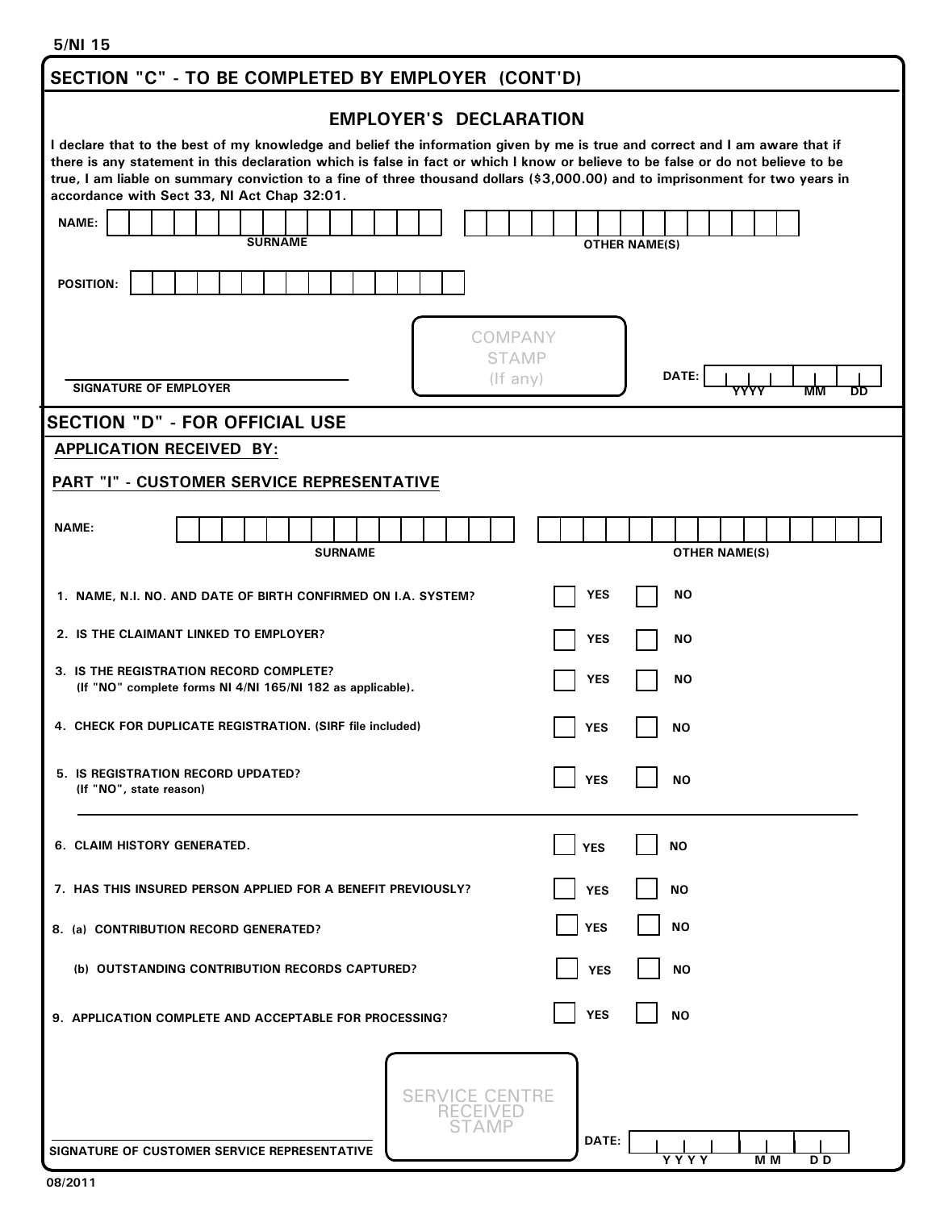| SECTION "C" - TO BE COMPLETED BY EMPLOYER (CONT'D)                                                                                                                                                                                                                                                                                                                                                                                               |                                  |  |  |  |  |  |  |  |  |  |
|--------------------------------------------------------------------------------------------------------------------------------------------------------------------------------------------------------------------------------------------------------------------------------------------------------------------------------------------------------------------------------------------------------------------------------------------------|----------------------------------|--|--|--|--|--|--|--|--|--|
| <b>EMPLOYER'S DECLARATION</b>                                                                                                                                                                                                                                                                                                                                                                                                                    |                                  |  |  |  |  |  |  |  |  |  |
| I declare that to the best of my knowledge and belief the information given by me is true and correct and I am aware that if<br>there is any statement in this declaration which is false in fact or which I know or believe to be false or do not believe to be<br>true, I am liable on summary conviction to a fine of three thousand dollars (\$3,000.00) and to imprisonment for two years in<br>accordance with Sect 33, NI Act Chap 32:01. |                                  |  |  |  |  |  |  |  |  |  |
| <b>NAME:</b><br><b>SURNAME</b>                                                                                                                                                                                                                                                                                                                                                                                                                   | <b>OTHER NAME(S)</b>             |  |  |  |  |  |  |  |  |  |
| <b>POSITION:</b>                                                                                                                                                                                                                                                                                                                                                                                                                                 |                                  |  |  |  |  |  |  |  |  |  |
| COMPANY<br><b>STAMP</b><br>$($ f any $)$<br><b>SIGNATURE OF EMPLOYER</b>                                                                                                                                                                                                                                                                                                                                                                         | DATE:<br>YYYY<br>MМ<br><b>DD</b> |  |  |  |  |  |  |  |  |  |
| <b>SECTION "D" - FOR OFFICIAL USE</b>                                                                                                                                                                                                                                                                                                                                                                                                            |                                  |  |  |  |  |  |  |  |  |  |
| <b>APPLICATION RECEIVED BY:</b>                                                                                                                                                                                                                                                                                                                                                                                                                  |                                  |  |  |  |  |  |  |  |  |  |
| PART "I" - CUSTOMER SERVICE REPRESENTATIVE                                                                                                                                                                                                                                                                                                                                                                                                       |                                  |  |  |  |  |  |  |  |  |  |
| <b>NAME:</b><br><b>SURNAME</b>                                                                                                                                                                                                                                                                                                                                                                                                                   | <b>OTHER NAME(S)</b>             |  |  |  |  |  |  |  |  |  |
| <b>YES</b><br><b>NO</b><br>1. NAME, N.I. NO. AND DATE OF BIRTH CONFIRMED ON I.A. SYSTEM?                                                                                                                                                                                                                                                                                                                                                         |                                  |  |  |  |  |  |  |  |  |  |
| 2. IS THE CLAIMANT LINKED TO EMPLOYER?                                                                                                                                                                                                                                                                                                                                                                                                           | <b>NO</b><br>YES                 |  |  |  |  |  |  |  |  |  |
| 3. IS THE REGISTRATION RECORD COMPLETE?<br>(If "NO" complete forms NI 4/NI 165/NI 182 as applicable).                                                                                                                                                                                                                                                                                                                                            | <b>YES</b><br><b>NO</b>          |  |  |  |  |  |  |  |  |  |
| 4. CHECK FOR DUPLICATE REGISTRATION. (SIRF file included)                                                                                                                                                                                                                                                                                                                                                                                        | <b>YES</b><br>ΝO                 |  |  |  |  |  |  |  |  |  |
| 5. IS REGISTRATION RECORD UPDATED?<br>(If "NO", state reason)                                                                                                                                                                                                                                                                                                                                                                                    | <b>YES</b><br><b>NO</b>          |  |  |  |  |  |  |  |  |  |
| 6. CLAIM HISTORY GENERATED.                                                                                                                                                                                                                                                                                                                                                                                                                      | <b>YES</b><br>ΝO                 |  |  |  |  |  |  |  |  |  |
| 7. HAS THIS INSURED PERSON APPLIED FOR A BENEFIT PREVIOUSLY?                                                                                                                                                                                                                                                                                                                                                                                     | <b>YES</b><br><b>NO</b>          |  |  |  |  |  |  |  |  |  |
| 8. (a) CONTRIBUTION RECORD GENERATED?                                                                                                                                                                                                                                                                                                                                                                                                            | <b>YES</b><br><b>NO</b>          |  |  |  |  |  |  |  |  |  |
| (b) OUTSTANDING CONTRIBUTION RECORDS CAPTURED?                                                                                                                                                                                                                                                                                                                                                                                                   | <b>YES</b><br>ΝO                 |  |  |  |  |  |  |  |  |  |
| 9. APPLICATION COMPLETE AND ACCEPTABLE FOR PROCESSING?                                                                                                                                                                                                                                                                                                                                                                                           | <b>YES</b><br><b>NO</b>          |  |  |  |  |  |  |  |  |  |
| CE CENTRE<br>SERV<br>SIGNATURE OF CUSTOMER SERVICE REPRESENTATIVE                                                                                                                                                                                                                                                                                                                                                                                | DATE:<br>Y Y Y Y<br>M M<br>D D   |  |  |  |  |  |  |  |  |  |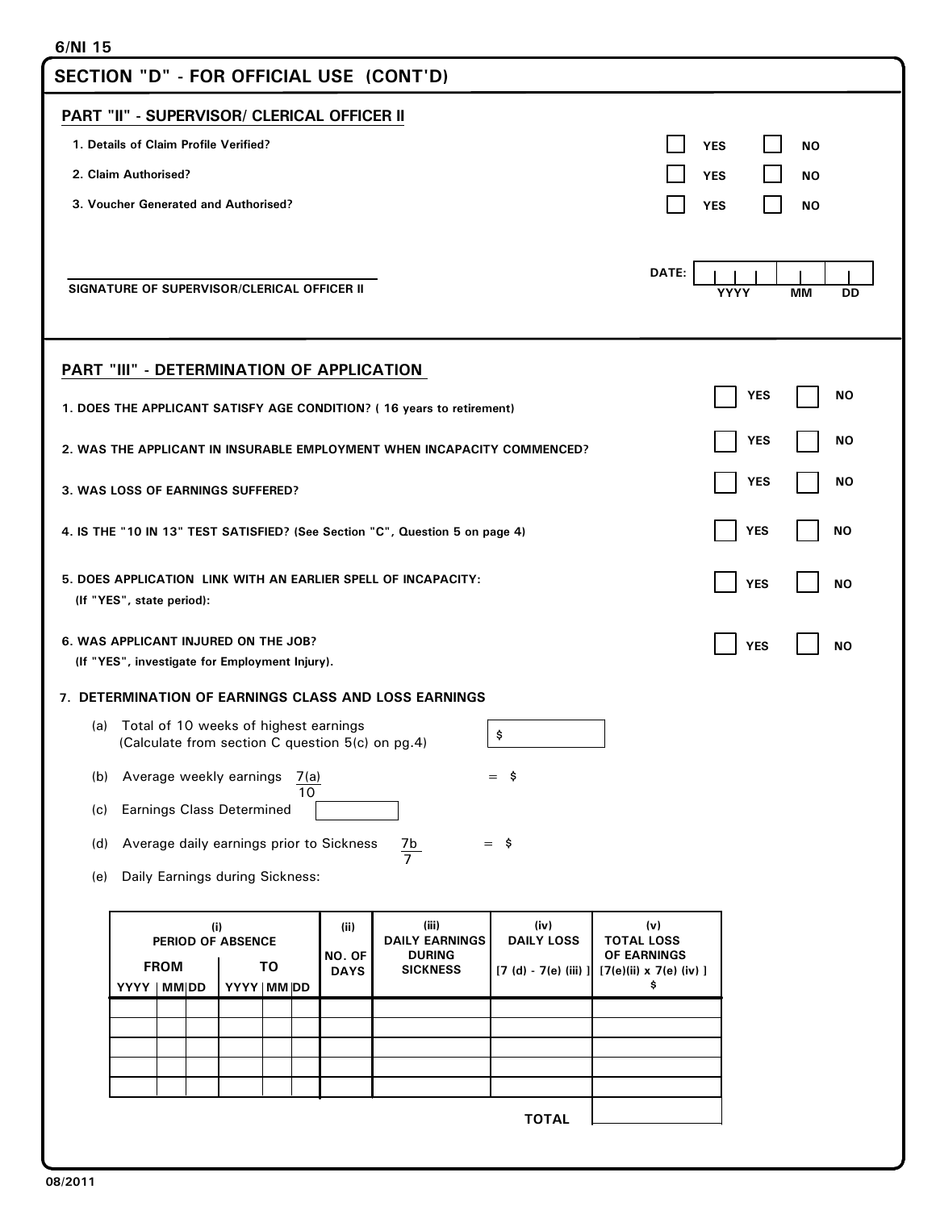| 6/NI 15                                                                                          |                                                                                                                                                            |                                                                          |  |  |  |  |  |  |  |  |
|--------------------------------------------------------------------------------------------------|------------------------------------------------------------------------------------------------------------------------------------------------------------|--------------------------------------------------------------------------|--|--|--|--|--|--|--|--|
| SECTION "D" - FOR OFFICIAL USE (CONT'D)                                                          |                                                                                                                                                            |                                                                          |  |  |  |  |  |  |  |  |
| PART "II" - SUPERVISOR/ CLERICAL OFFICER II                                                      |                                                                                                                                                            |                                                                          |  |  |  |  |  |  |  |  |
| 1. Details of Claim Profile Verified?<br><b>YES</b><br><b>NO</b>                                 |                                                                                                                                                            |                                                                          |  |  |  |  |  |  |  |  |
| 2. Claim Authorised?                                                                             |                                                                                                                                                            | <b>YES</b><br><b>NO</b>                                                  |  |  |  |  |  |  |  |  |
| 3. Voucher Generated and Authorised?                                                             |                                                                                                                                                            |                                                                          |  |  |  |  |  |  |  |  |
| DATE:<br>SIGNATURE OF SUPERVISOR/CLERICAL OFFICER II<br><b>YYYY</b><br>MМ<br>DD                  |                                                                                                                                                            |                                                                          |  |  |  |  |  |  |  |  |
| PART "III" - DETERMINATION OF APPLICATION                                                        |                                                                                                                                                            |                                                                          |  |  |  |  |  |  |  |  |
| 1. DOES THE APPLICANT SATISFY AGE CONDITION? (16 years to retirement)                            |                                                                                                                                                            | <b>YES</b><br>NO.                                                        |  |  |  |  |  |  |  |  |
| <b>YES</b><br>NO.<br>2. WAS THE APPLICANT IN INSURABLE EMPLOYMENT WHEN INCAPACITY COMMENCED?     |                                                                                                                                                            |                                                                          |  |  |  |  |  |  |  |  |
| 3. WAS LOSS OF EARNINGS SUFFERED?                                                                |                                                                                                                                                            | <b>YES</b><br>NO.                                                        |  |  |  |  |  |  |  |  |
|                                                                                                  | <b>YES</b><br>NO<br>4. IS THE "10 IN 13" TEST SATISFIED? (See Section "C", Question 5 on page 4)                                                           |                                                                          |  |  |  |  |  |  |  |  |
| (If "YES", state period):                                                                        | 5. DOES APPLICATION LINK WITH AN EARLIER SPELL OF INCAPACITY:<br><b>YES</b><br><b>NO</b>                                                                   |                                                                          |  |  |  |  |  |  |  |  |
| 6. WAS APPLICANT INJURED ON THE JOB?<br>(If "YES", investigate for Employment Injury).           |                                                                                                                                                            | <b>YES</b><br>NO                                                         |  |  |  |  |  |  |  |  |
| <b>7. DETERMINATION OF EARNINGS CLASS AND LOSS EARNINGS</b>                                      |                                                                                                                                                            |                                                                          |  |  |  |  |  |  |  |  |
| Total of 10 weeks of highest earnings<br>(a)<br>(Calculate from section C question 5(c) on pg.4) | \$                                                                                                                                                         |                                                                          |  |  |  |  |  |  |  |  |
| Average weekly earnings<br>(b)<br>7(a)<br>10                                                     | $=$ \$                                                                                                                                                     |                                                                          |  |  |  |  |  |  |  |  |
| <b>Earnings Class Determined</b><br>(c)                                                          |                                                                                                                                                            |                                                                          |  |  |  |  |  |  |  |  |
| Average daily earnings prior to Sickness<br>$=$ \$<br>(d)<br>$rac{7b}{7}$                        |                                                                                                                                                            |                                                                          |  |  |  |  |  |  |  |  |
| Daily Earnings during Sickness:<br>(e)                                                           |                                                                                                                                                            |                                                                          |  |  |  |  |  |  |  |  |
| (i)<br>PERIOD OF ABSENCE<br><b>FROM</b><br>TO<br>YYYY   MM DD<br>YYYY   MM DD                    | (iii)<br>(iv)<br>(ii)<br><b>DAILY LOSS</b><br><b>DAILY EARNINGS</b><br><b>DURING</b><br>NO. OF<br><b>SICKNESS</b><br>$[7 (d) - 7(e) (iii)]$<br><b>DAYS</b> | (v)<br><b>TOTAL LOSS</b><br>OF EARNINGS<br>[7(e)(ii) x 7(e) (iv) ]<br>\$ |  |  |  |  |  |  |  |  |
|                                                                                                  |                                                                                                                                                            |                                                                          |  |  |  |  |  |  |  |  |
|                                                                                                  |                                                                                                                                                            |                                                                          |  |  |  |  |  |  |  |  |
|                                                                                                  |                                                                                                                                                            |                                                                          |  |  |  |  |  |  |  |  |
|                                                                                                  | <b>TOTAL</b>                                                                                                                                               |                                                                          |  |  |  |  |  |  |  |  |
|                                                                                                  |                                                                                                                                                            |                                                                          |  |  |  |  |  |  |  |  |